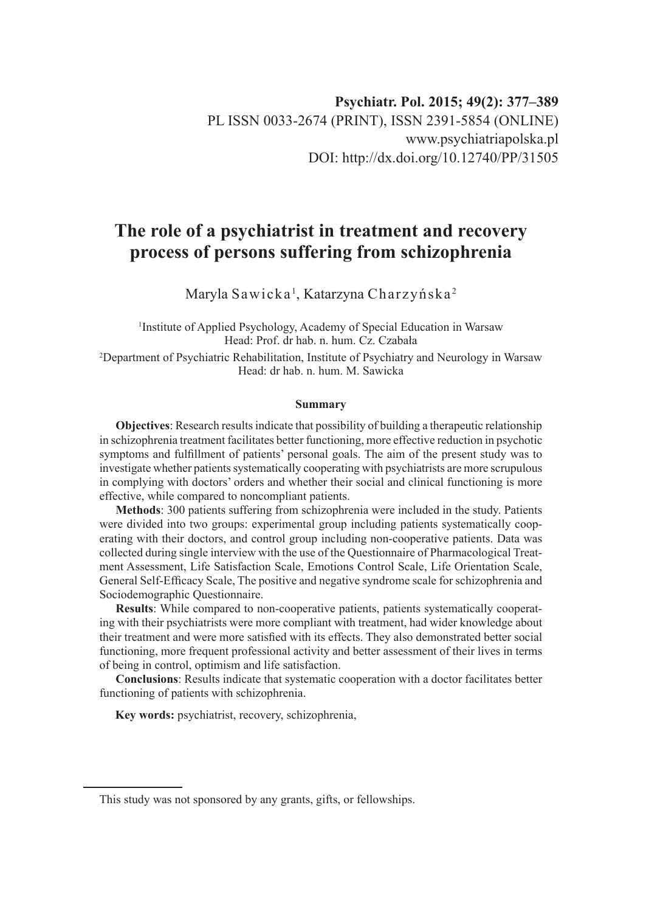# **The role of a psychiatrist in treatment and recovery process of persons suffering from schizophrenia**

Maryla Sawicka', Katarzyna Charzyńska<sup>2</sup>

1 Institute of Applied Psychology, Academy of Special Education in Warsaw Head: Prof. dr hab. n. hum. Cz. Czabała

2 Department of Psychiatric Rehabilitation, Institute of Psychiatry and Neurology in Warsaw Head: dr hab. n. hum. M. Sawicka

#### **Summary**

**Objectives**: Research results indicate that possibility of building a therapeutic relationship in schizophrenia treatment facilitates better functioning, more effective reduction in psychotic symptoms and fulfillment of patients' personal goals. The aim of the present study was to investigate whether patients systematically cooperating with psychiatrists are more scrupulous in complying with doctors' orders and whether their social and clinical functioning is more effective, while compared to noncompliant patients.

**Methods**: 300 patients suffering from schizophrenia were included in the study. Patients were divided into two groups: experimental group including patients systematically cooperating with their doctors, and control group including non-cooperative patients. Data was collected during single interview with the use of the Questionnaire of Pharmacological Treatment Assessment, Life Satisfaction Scale, Emotions Control Scale, Life Orientation Scale, General Self-Efficacy Scale, The positive and negative syndrome scale for schizophrenia and Sociodemographic Questionnaire.

**Results**: While compared to non-cooperative patients, patients systematically cooperating with their psychiatrists were more compliant with treatment, had wider knowledge about their treatment and were more satisfied with its effects. They also demonstrated better social functioning, more frequent professional activity and better assessment of their lives in terms of being in control, optimism and life satisfaction.

**Conclusions**: Results indicate that systematic cooperation with a doctor facilitates better functioning of patients with schizophrenia.

**Key words:** psychiatrist, recovery, schizophrenia,

This study was not sponsored by any grants, gifts, or fellowships.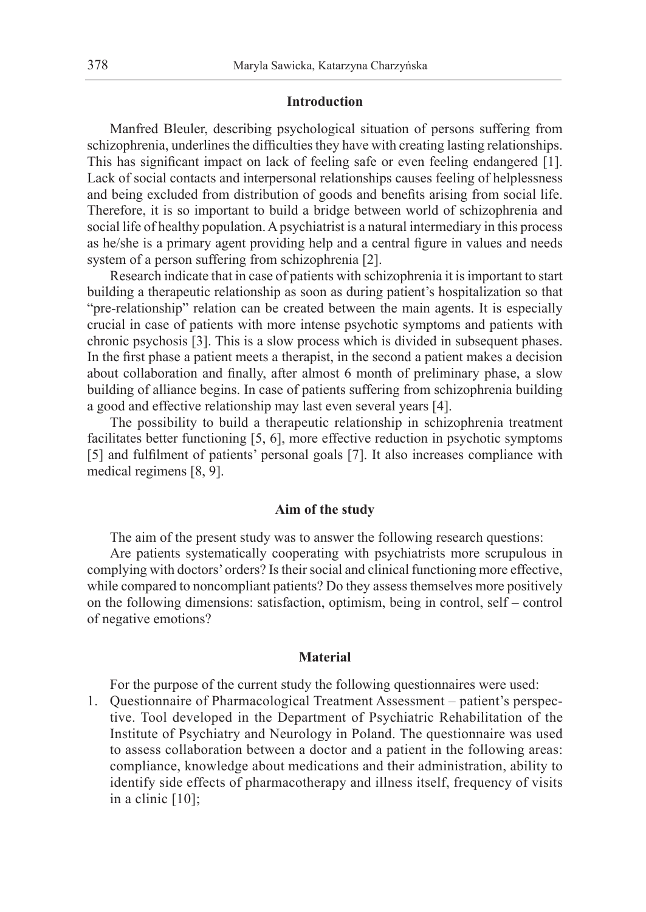## **Introduction**

Manfred Bleuler, describing psychological situation of persons suffering from schizophrenia, underlines the difficulties they have with creating lasting relationships. This has significant impact on lack of feeling safe or even feeling endangered [1]. Lack of social contacts and interpersonal relationships causes feeling of helplessness and being excluded from distribution of goods and benefits arising from social life. Therefore, it is so important to build a bridge between world of schizophrenia and social life of healthy population. A psychiatrist is a natural intermediary in this process as he/she is a primary agent providing help and a central figure in values and needs system of a person suffering from schizophrenia [2].

Research indicate that in case of patients with schizophrenia it is important to start building a therapeutic relationship as soon as during patient's hospitalization so that "pre-relationship" relation can be created between the main agents. It is especially crucial in case of patients with more intense psychotic symptoms and patients with chronic psychosis [3]. This is a slow process which is divided in subsequent phases. In the first phase a patient meets a therapist, in the second a patient makes a decision about collaboration and finally, after almost 6 month of preliminary phase, a slow building of alliance begins. In case of patients suffering from schizophrenia building a good and effective relationship may last even several years [4].

The possibility to build a therapeutic relationship in schizophrenia treatment facilitates better functioning [5, 6], more effective reduction in psychotic symptoms [5] and fulfilment of patients' personal goals [7]. It also increases compliance with medical regimens [8, 9].

## **Aim of the study**

The aim of the present study was to answer the following research questions:

Are patients systematically cooperating with psychiatrists more scrupulous in complying with doctors' orders? Is their social and clinical functioning more effective, while compared to noncompliant patients? Do they assess themselves more positively on the following dimensions: satisfaction, optimism, being in control, self – control of negative emotions?

#### **Material**

For the purpose of the current study the following questionnaires were used:

1. Questionnaire of Pharmacological Treatment Assessment – patient's perspective. Tool developed in the Department of Psychiatric Rehabilitation of the Institute of Psychiatry and Neurology in Poland. The questionnaire was used to assess collaboration between a doctor and a patient in the following areas: compliance, knowledge about medications and their administration, ability to identify side effects of pharmacotherapy and illness itself, frequency of visits in a clinic [10];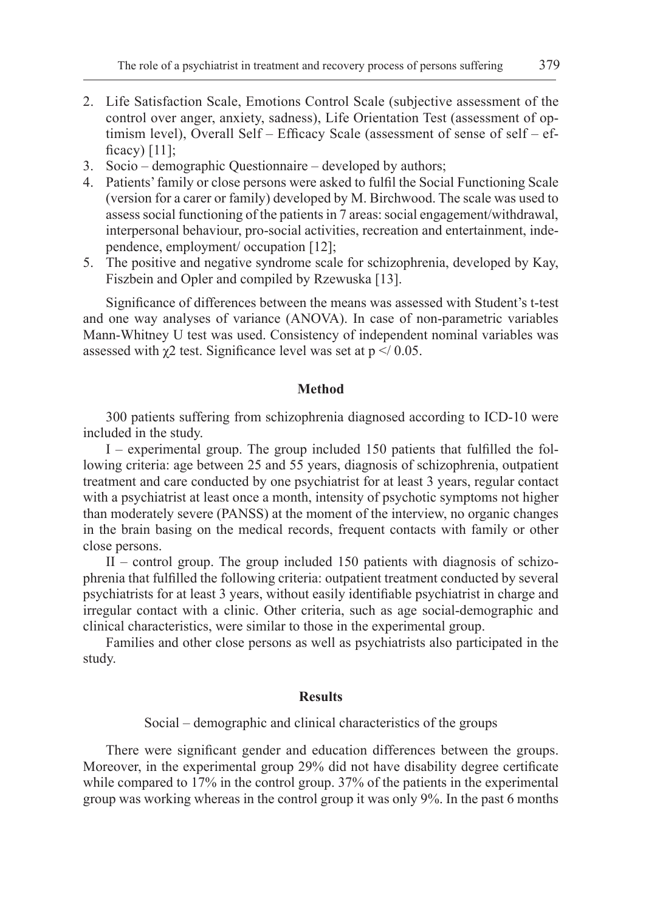- 2. Life Satisfaction Scale, Emotions Control Scale (subjective assessment of the control over anger, anxiety, sadness), Life Orientation Test (assessment of optimism level), Overall Self – Efficacy Scale (assessment of sense of self – efficacy) [11];
- 3. Socio demographic Questionnaire developed by authors;
- 4. Patients' family or close persons were asked to fulfil the Social Functioning Scale (version for a carer or family) developed by M. Birchwood. The scale was used to assess social functioning of the patients in 7 areas: social engagement/withdrawal, interpersonal behaviour, pro-social activities, recreation and entertainment, independence, employment/ occupation [12];
- 5. The positive and negative syndrome scale for schizophrenia, developed by Kay, Fiszbein and Opler and compiled by Rzewuska [13].

Significance of differences between the means was assessed with Student's t-test and one way analyses of variance (ANOVA). In case of non-parametric variables Mann-Whitney U test was used. Consistency of independent nominal variables was assessed with  $\gamma$ 2 test. Significance level was set at  $p \le 0.05$ .

## **Method**

300 patients suffering from schizophrenia diagnosed according to ICD-10 were included in the study.

I – experimental group. The group included 150 patients that fulfilled the following criteria: age between 25 and 55 years, diagnosis of schizophrenia, outpatient treatment and care conducted by one psychiatrist for at least 3 years, regular contact with a psychiatrist at least once a month, intensity of psychotic symptoms not higher than moderately severe (PANSS) at the moment of the interview, no organic changes in the brain basing on the medical records, frequent contacts with family or other close persons.

II – control group. The group included 150 patients with diagnosis of schizophrenia that fulfilled the following criteria: outpatient treatment conducted by several psychiatrists for at least 3 years, without easily identifiable psychiatrist in charge and irregular contact with a clinic. Other criteria, such as age social-demographic and clinical characteristics, were similar to those in the experimental group.

Families and other close persons as well as psychiatrists also participated in the study.

## **Results**

Social – demographic and clinical characteristics of the groups

There were significant gender and education differences between the groups. Moreover, in the experimental group 29% did not have disability degree certificate while compared to 17% in the control group. 37% of the patients in the experimental group was working whereas in the control group it was only 9%. In the past 6 months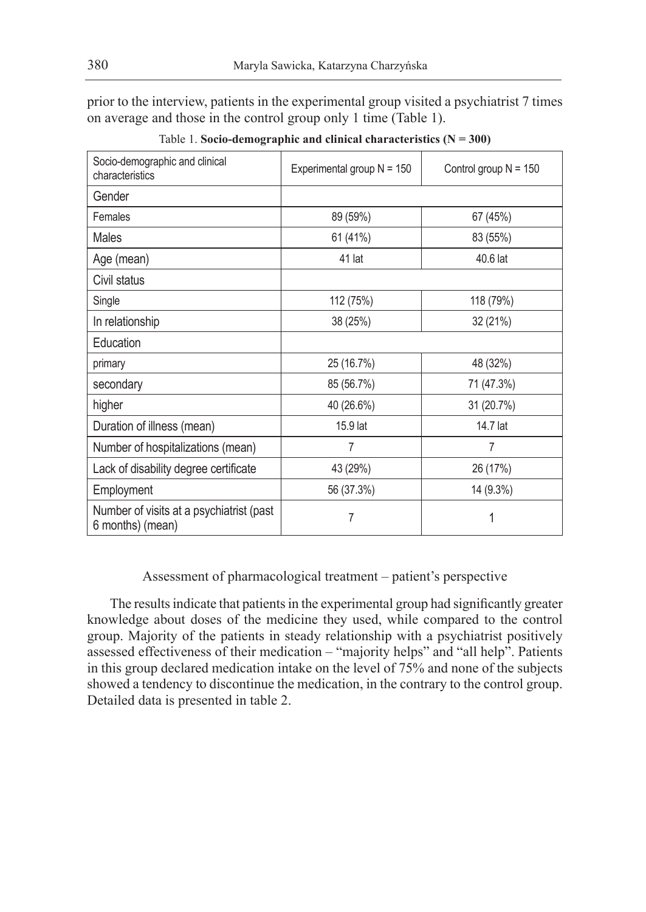prior to the interview, patients in the experimental group visited a psychiatrist 7 times on average and those in the control group only 1 time (Table 1).

| Socio-demographic and clinical<br>characteristics            | Experimental group $N = 150$ | Control group $N = 150$ |
|--------------------------------------------------------------|------------------------------|-------------------------|
| Gender                                                       |                              |                         |
| Females                                                      | 89 (59%)                     | 67 (45%)                |
| Males                                                        | 61 (41%)                     | 83 (55%)                |
| Age (mean)                                                   | 41 lat                       | 40.6 lat                |
| Civil status                                                 |                              |                         |
| Single                                                       | 112 (75%)                    | 118 (79%)               |
| In relationship                                              | 38 (25%)                     | 32 (21%)                |
| Education                                                    |                              |                         |
| primary                                                      | 25 (16.7%)                   | 48 (32%)                |
| secondary                                                    | 85 (56.7%)                   | 71 (47.3%)              |
| higher                                                       | 40 (26.6%)                   | 31 (20.7%)              |
| Duration of illness (mean)                                   | 15.9 lat                     | 14.7 lat                |
| Number of hospitalizations (mean)                            | 7                            | 7                       |
| Lack of disability degree certificate                        | 43 (29%)                     | 26 (17%)                |
| Employment                                                   | 56 (37.3%)                   | 14 (9.3%)               |
| Number of visits at a psychiatrist (past<br>6 months) (mean) | 7                            | 1                       |

Table 1. **Socio-demographic and clinical characteristics (N = 300)**

# Assessment of pharmacological treatment – patient's perspective

The results indicate that patients in the experimental group had significantly greater knowledge about doses of the medicine they used, while compared to the control group. Majority of the patients in steady relationship with a psychiatrist positively assessed effectiveness of their medication – "majority helps" and "all help". Patients in this group declared medication intake on the level of 75% and none of the subjects showed a tendency to discontinue the medication, in the contrary to the control group. Detailed data is presented in table 2.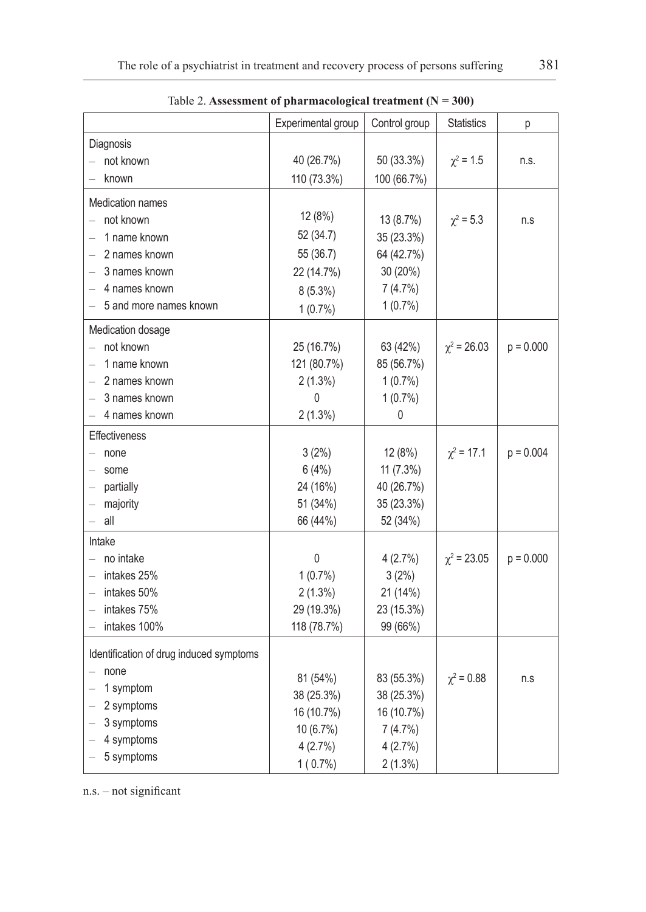|                                         | Experimental group | Control group | <b>Statistics</b> | р           |
|-----------------------------------------|--------------------|---------------|-------------------|-------------|
| Diagnosis                               |                    |               |                   |             |
| not known                               | 40 (26.7%)         | 50 (33.3%)    | $\chi^2$ = 1.5    | n.s.        |
| known                                   | 110 (73.3%)        | 100 (66.7%)   |                   |             |
| <b>Medication names</b>                 |                    |               |                   |             |
| not known                               | 12 (8%)            | 13 (8.7%)     | $\chi^2 = 5.3$    | n.s         |
| 1 name known                            | 52 (34.7)          | 35 (23.3%)    |                   |             |
| 2 names known                           | 55 (36.7)          | 64 (42.7%)    |                   |             |
| 3 names known                           | 22 (14.7%)         | 30 (20%)      |                   |             |
| 4 names known                           | $8(5.3\%)$         | 7(4.7%)       |                   |             |
| 5 and more names known                  | $1(0.7\%)$         | $1(0.7\%)$    |                   |             |
|                                         |                    |               |                   |             |
| Medication dosage<br>not known          | 25 (16.7%)         | 63 (42%)      | $\chi^2$ = 26.03  | $p = 0.000$ |
| 1 name known                            | 121 (80.7%)        | 85 (56.7%)    |                   |             |
| 2 names known                           | $2(1.3\%)$         | $1(0.7\%)$    |                   |             |
| 3 names known                           | 0                  | $1(0.7\%)$    |                   |             |
| 4 names known                           | 2(1.3%)            | 0             |                   |             |
| <b>Effectiveness</b>                    |                    |               |                   |             |
| none                                    | 3(2%)              | 12 (8%)       | $\chi^2$ = 17.1   | $p = 0.004$ |
| some                                    | 6(4%)              | $11(7.3\%)$   |                   |             |
| partially                               | 24 (16%)           | 40 (26.7%)    |                   |             |
| majority                                | 51 (34%)           | 35 (23.3%)    |                   |             |
| all                                     | 66 (44%)           | 52 (34%)      |                   |             |
| Intake                                  |                    |               |                   |             |
| no intake                               | 0                  | 4(2.7%)       | $\chi^2$ = 23.05  | $p = 0.000$ |
| intakes 25%                             | $1(0.7\%)$         | 3(2%)         |                   |             |
| intakes 50%                             | $2(1.3\%)$         | 21 (14%)      |                   |             |
| intakes 75%                             | 29 (19.3%)         | 23 (15.3%)    |                   |             |
| intakes 100%                            | 118 (78.7%)        | 99 (66%)      |                   |             |
|                                         |                    |               |                   |             |
| Identification of drug induced symptoms |                    |               |                   |             |
| none                                    | 81 (54%)           | 83 (55.3%)    | $\chi^2 = 0.88$   | n.s         |
| 1 symptom                               | 38 (25.3%)         | 38 (25.3%)    |                   |             |
| 2 symptoms                              | 16 (10.7%)         | 16 (10.7%)    |                   |             |
| 3 symptoms                              | 10 (6.7%)          | 7(4.7%)       |                   |             |
| 4 symptoms                              | 4(2.7%)            | 4(2.7%)       |                   |             |
| 5 symptoms                              | $1(0.7\%)$         | $2(1.3\%)$    |                   |             |

Table 2. **Assessment of pharmacological treatment (N = 300)**

n.s. – not significant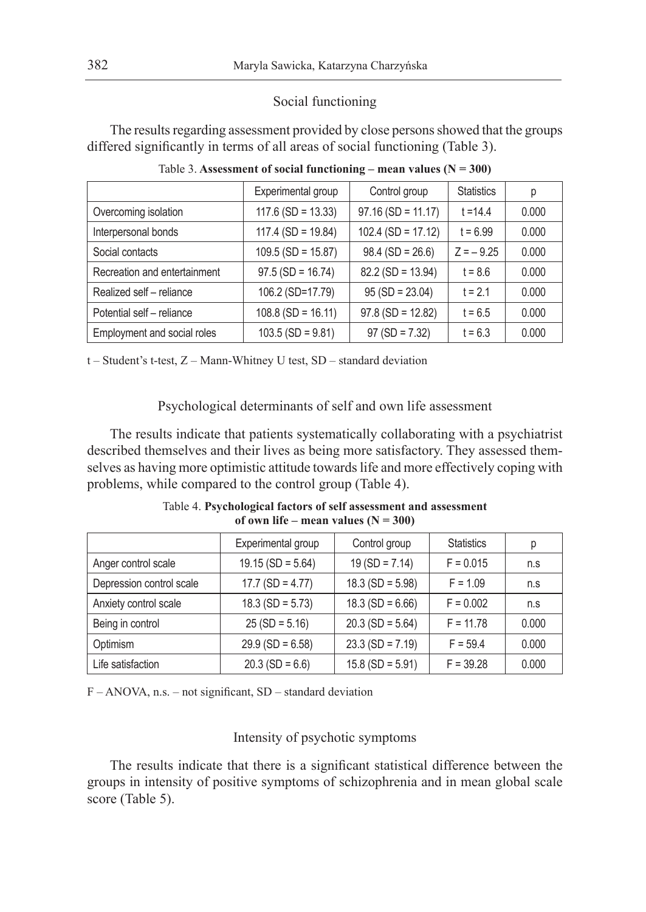## Social functioning

The results regarding assessment provided by close persons showed that the groups differed significantly in terms of all areas of social functioning (Table 3).

|                              | Experimental group   | Control group        | <b>Statistics</b> | p     |
|------------------------------|----------------------|----------------------|-------------------|-------|
| Overcoming isolation         | $117.6$ (SD = 13.33) | $97.16$ (SD = 11.17) | $t = 14.4$        | 0.000 |
| Interpersonal bonds          | $117.4$ (SD = 19.84) | $102.4$ (SD = 17.12) | $t = 6.99$        | 0.000 |
| Social contacts              | $109.5$ (SD = 15.87) | $98.4$ (SD = 26.6)   | $Z = -9.25$       | 0.000 |
| Recreation and entertainment | $97.5$ (SD = 16.74)  | $82.2$ (SD = 13.94)  | $t = 8.6$         | 0.000 |
| Realized self - reliance     | 106.2 (SD=17.79)     | $95(SD = 23.04)$     | $t = 2.1$         | 0.000 |
| Potential self - reliance    | $108.8$ (SD = 16.11) | $97.8$ (SD = 12.82)  | $t = 6.5$         | 0.000 |
| Employment and social roles  | $103.5$ (SD = 9.81)  | $97 (SD = 7.32)$     | $t = 6.3$         | 0.000 |

Table 3. Assessment of social functioning – mean values  $(N = 300)$ 

t – Student's t-test, Z – Mann-Whitney U test, SD – standard deviation

Psychological determinants of self and own life assessment

The results indicate that patients systematically collaborating with a psychiatrist described themselves and their lives as being more satisfactory. They assessed themselves as having more optimistic attitude towards life and more effectively coping with problems, while compared to the control group (Table 4).

| Table 4. Psychological factors of self assessment and assessment |  |
|------------------------------------------------------------------|--|
| of own life – mean values $(N = 300)$                            |  |

|                          | Experimental group  | Control group      | <b>Statistics</b> | р     |
|--------------------------|---------------------|--------------------|-------------------|-------|
| Anger control scale      | $19.15$ (SD = 5.64) | $19(SD = 7.14)$    | $F = 0.015$       | n.s   |
| Depression control scale | $17.7$ (SD = 4.77)  | $18.3$ (SD = 5.98) | $F = 1.09$        | n.s   |
| Anxiety control scale    | $18.3$ (SD = 5.73)  | $18.3$ (SD = 6.66) | $F = 0.002$       | n.s   |
| Being in control         | $25 (SD = 5.16)$    | $20.3$ (SD = 5.64) | $F = 11.78$       | 0.000 |
| Optimism                 | $29.9$ (SD = 6.58)  | $23.3$ (SD = 7.19) | $F = 59.4$        | 0.000 |
| Life satisfaction        | $20.3$ (SD = 6.6)   | $15.8$ (SD = 5.91) | $F = 39.28$       | 0.000 |

F – ANOVA, n.s. – not significant, SD – standard deviation

## Intensity of psychotic symptoms

The results indicate that there is a significant statistical difference between the groups in intensity of positive symptoms of schizophrenia and in mean global scale score (Table 5).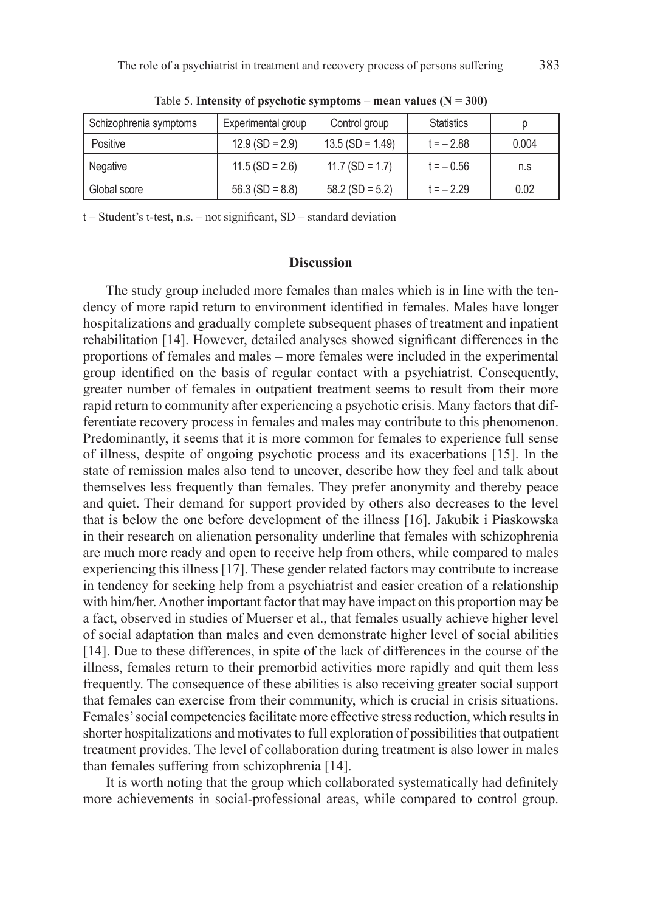| Schizophrenia symptoms | Experimental group | Control group      | <b>Statistics</b> | p     |
|------------------------|--------------------|--------------------|-------------------|-------|
| Positive               | $12.9$ (SD = 2.9)  | $13.5 (SD = 1.49)$ | $t = -2.88$       | 0.004 |
| Negative               | $11.5$ (SD = 2.6)  | $11.7$ (SD = 1.7)  | $t = -0.56$       | n.s   |
| Global score           | $56.3$ (SD = 8.8)  | $58.2$ (SD = 5.2)  | $t = -2.29$       | 0.02  |

Table 5. **Intensity of psychotic symptoms – mean values (N = 300)**

t – Student's t-test, n.s. – not significant, SD – standard deviation

## **Discussion**

The study group included more females than males which is in line with the tendency of more rapid return to environment identified in females. Males have longer hospitalizations and gradually complete subsequent phases of treatment and inpatient rehabilitation [14]. However, detailed analyses showed significant differences in the proportions of females and males – more females were included in the experimental group identified on the basis of regular contact with a psychiatrist. Consequently, greater number of females in outpatient treatment seems to result from their more rapid return to community after experiencing a psychotic crisis. Many factors that differentiate recovery process in females and males may contribute to this phenomenon. Predominantly, it seems that it is more common for females to experience full sense of illness, despite of ongoing psychotic process and its exacerbations [15]. In the state of remission males also tend to uncover, describe how they feel and talk about themselves less frequently than females. They prefer anonymity and thereby peace and quiet. Their demand for support provided by others also decreases to the level that is below the one before development of the illness [16]. Jakubik i Piaskowska in their research on alienation personality underline that females with schizophrenia are much more ready and open to receive help from others, while compared to males experiencing this illness [17]. These gender related factors may contribute to increase in tendency for seeking help from a psychiatrist and easier creation of a relationship with him/her. Another important factor that may have impact on this proportion may be a fact, observed in studies of Muerser et al., that females usually achieve higher level of social adaptation than males and even demonstrate higher level of social abilities [14]. Due to these differences, in spite of the lack of differences in the course of the illness, females return to their premorbid activities more rapidly and quit them less frequently. The consequence of these abilities is also receiving greater social support that females can exercise from their community, which is crucial in crisis situations. Females' social competencies facilitate more effective stress reduction, which results in shorter hospitalizations and motivates to full exploration of possibilities that outpatient treatment provides. The level of collaboration during treatment is also lower in males than females suffering from schizophrenia [14].

It is worth noting that the group which collaborated systematically had definitely more achievements in social-professional areas, while compared to control group.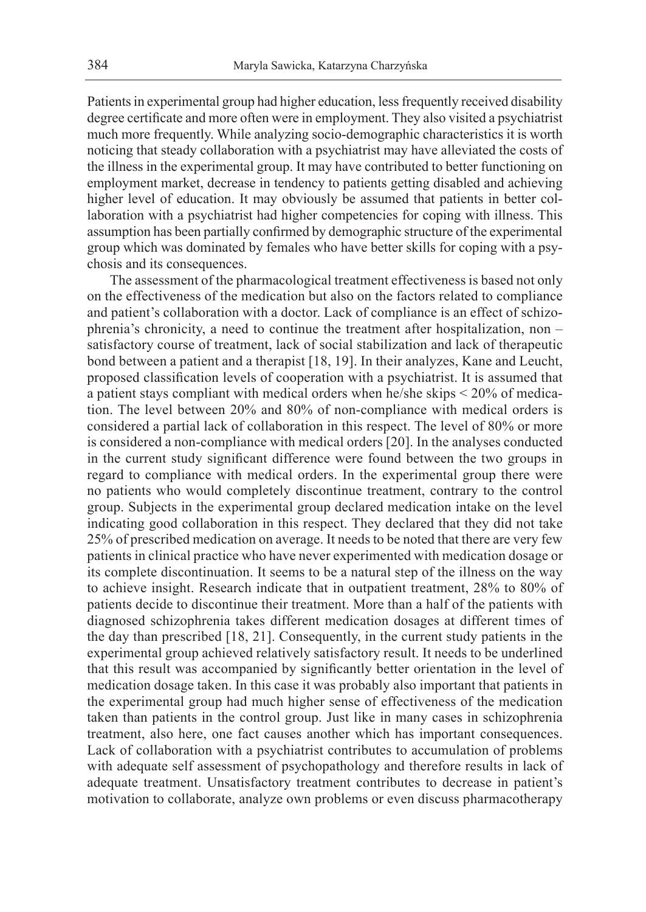Patients in experimental group had higher education, less frequently received disability degree certificate and more often were in employment. They also visited a psychiatrist much more frequently. While analyzing socio-demographic characteristics it is worth noticing that steady collaboration with a psychiatrist may have alleviated the costs of the illness in the experimental group. It may have contributed to better functioning on employment market, decrease in tendency to patients getting disabled and achieving higher level of education. It may obviously be assumed that patients in better collaboration with a psychiatrist had higher competencies for coping with illness. This assumption has been partially confirmed by demographic structure of the experimental group which was dominated by females who have better skills for coping with a psychosis and its consequences.

The assessment of the pharmacological treatment effectiveness is based not only on the effectiveness of the medication but also on the factors related to compliance and patient's collaboration with a doctor. Lack of compliance is an effect of schizophrenia's chronicity, a need to continue the treatment after hospitalization, non – satisfactory course of treatment, lack of social stabilization and lack of therapeutic bond between a patient and a therapist [18, 19]. In their analyzes, Kane and Leucht, proposed classification levels of cooperation with a psychiatrist. It is assumed that a patient stays compliant with medical orders when he/she skips < 20% of medication. The level between 20% and 80% of non-compliance with medical orders is considered a partial lack of collaboration in this respect. The level of 80% or more is considered a non-compliance with medical orders [20]. In the analyses conducted in the current study significant difference were found between the two groups in regard to compliance with medical orders. In the experimental group there were no patients who would completely discontinue treatment, contrary to the control group. Subjects in the experimental group declared medication intake on the level indicating good collaboration in this respect. They declared that they did not take 25% of prescribed medication on average. It needs to be noted that there are very few patients in clinical practice who have never experimented with medication dosage or its complete discontinuation. It seems to be a natural step of the illness on the way to achieve insight. Research indicate that in outpatient treatment, 28% to 80% of patients decide to discontinue their treatment. More than a half of the patients with diagnosed schizophrenia takes different medication dosages at different times of the day than prescribed [18, 21]. Consequently, in the current study patients in the experimental group achieved relatively satisfactory result. It needs to be underlined that this result was accompanied by significantly better orientation in the level of medication dosage taken. In this case it was probably also important that patients in the experimental group had much higher sense of effectiveness of the medication taken than patients in the control group. Just like in many cases in schizophrenia treatment, also here, one fact causes another which has important consequences. Lack of collaboration with a psychiatrist contributes to accumulation of problems with adequate self assessment of psychopathology and therefore results in lack of adequate treatment. Unsatisfactory treatment contributes to decrease in patient's motivation to collaborate, analyze own problems or even discuss pharmacotherapy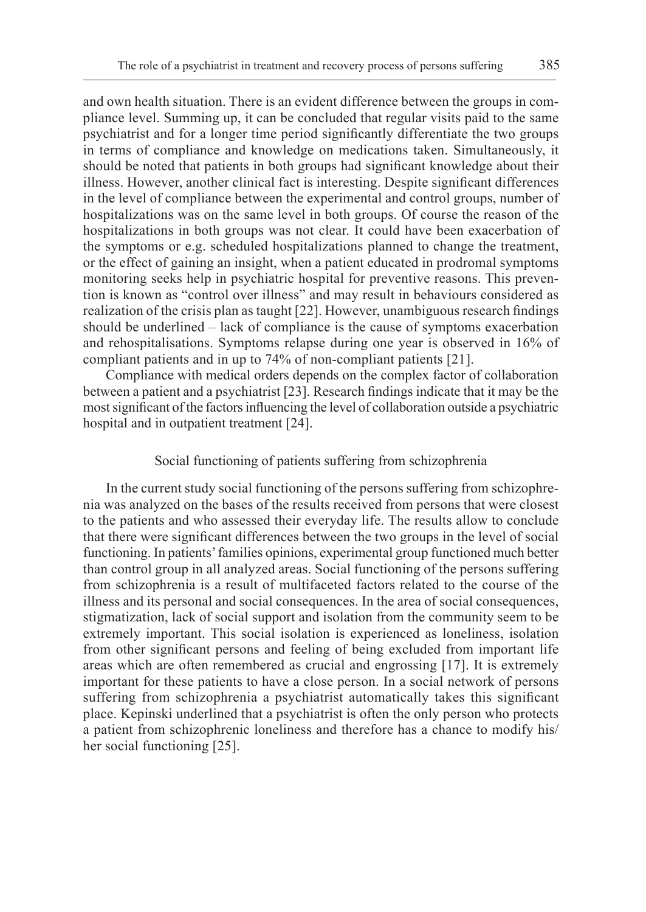and own health situation. There is an evident difference between the groups in compliance level. Summing up, it can be concluded that regular visits paid to the same psychiatrist and for a longer time period significantly differentiate the two groups in terms of compliance and knowledge on medications taken. Simultaneously, it should be noted that patients in both groups had significant knowledge about their illness. However, another clinical fact is interesting. Despite significant differences in the level of compliance between the experimental and control groups, number of hospitalizations was on the same level in both groups. Of course the reason of the hospitalizations in both groups was not clear. It could have been exacerbation of the symptoms or e.g. scheduled hospitalizations planned to change the treatment, or the effect of gaining an insight, when a patient educated in prodromal symptoms monitoring seeks help in psychiatric hospital for preventive reasons. This prevention is known as "control over illness" and may result in behaviours considered as realization of the crisis plan as taught [22]. However, unambiguous research findings should be underlined – lack of compliance is the cause of symptoms exacerbation and rehospitalisations. Symptoms relapse during one year is observed in 16% of compliant patients and in up to 74% of non-compliant patients [21].

Compliance with medical orders depends on the complex factor of collaboration between a patient and a psychiatrist [23]. Research findings indicate that it may be the most significant of the factors influencing the level of collaboration outside a psychiatric hospital and in outpatient treatment [24].

## Social functioning of patients suffering from schizophrenia

In the current study social functioning of the persons suffering from schizophrenia was analyzed on the bases of the results received from persons that were closest to the patients and who assessed their everyday life. The results allow to conclude that there were significant differences between the two groups in the level of social functioning. In patients' families opinions, experimental group functioned much better than control group in all analyzed areas. Social functioning of the persons suffering from schizophrenia is a result of multifaceted factors related to the course of the illness and its personal and social consequences. In the area of social consequences, stigmatization, lack of social support and isolation from the community seem to be extremely important. This social isolation is experienced as loneliness, isolation from other significant persons and feeling of being excluded from important life areas which are often remembered as crucial and engrossing [17]. It is extremely important for these patients to have a close person. In a social network of persons suffering from schizophrenia a psychiatrist automatically takes this significant place. Kepinski underlined that a psychiatrist is often the only person who protects a patient from schizophrenic loneliness and therefore has a chance to modify his/ her social functioning [25].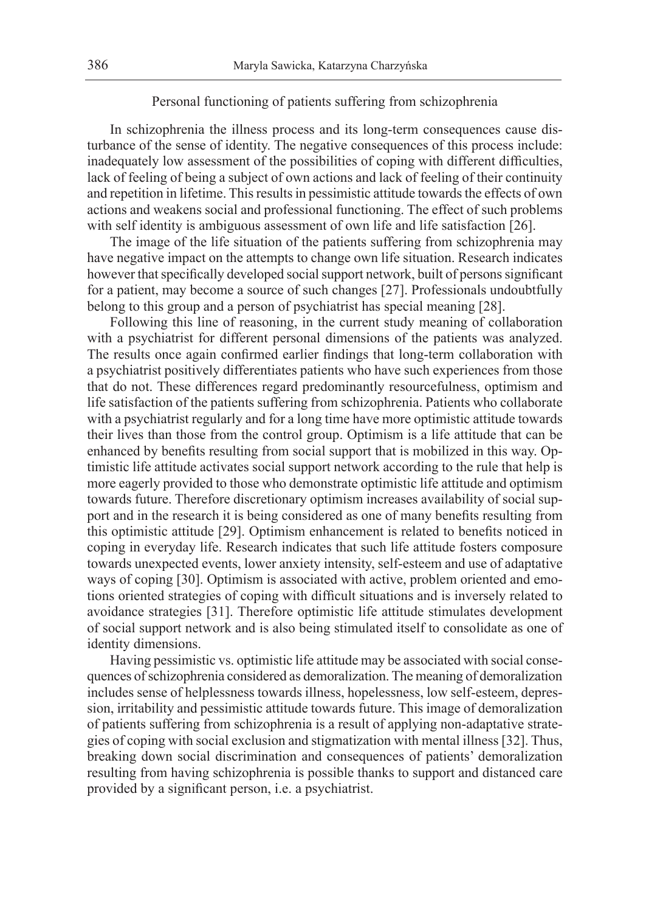## Personal functioning of patients suffering from schizophrenia

In schizophrenia the illness process and its long-term consequences cause disturbance of the sense of identity. The negative consequences of this process include: inadequately low assessment of the possibilities of coping with different difficulties, lack of feeling of being a subject of own actions and lack of feeling of their continuity and repetition in lifetime. This results in pessimistic attitude towards the effects of own actions and weakens social and professional functioning. The effect of such problems with self identity is ambiguous assessment of own life and life satisfaction [26].

The image of the life situation of the patients suffering from schizophrenia may have negative impact on the attempts to change own life situation. Research indicates however that specifically developed social support network, built of persons significant for a patient, may become a source of such changes [27]. Professionals undoubtfully belong to this group and a person of psychiatrist has special meaning [28].

Following this line of reasoning, in the current study meaning of collaboration with a psychiatrist for different personal dimensions of the patients was analyzed. The results once again confirmed earlier findings that long-term collaboration with a psychiatrist positively differentiates patients who have such experiences from those that do not. These differences regard predominantly resourcefulness, optimism and life satisfaction of the patients suffering from schizophrenia. Patients who collaborate with a psychiatrist regularly and for a long time have more optimistic attitude towards their lives than those from the control group. Optimism is a life attitude that can be enhanced by benefits resulting from social support that is mobilized in this way. Optimistic life attitude activates social support network according to the rule that help is more eagerly provided to those who demonstrate optimistic life attitude and optimism towards future. Therefore discretionary optimism increases availability of social support and in the research it is being considered as one of many benefits resulting from this optimistic attitude [29]. Optimism enhancement is related to benefits noticed in coping in everyday life. Research indicates that such life attitude fosters composure towards unexpected events, lower anxiety intensity, self-esteem and use of adaptative ways of coping [30]. Optimism is associated with active, problem oriented and emotions oriented strategies of coping with difficult situations and is inversely related to avoidance strategies [31]. Therefore optimistic life attitude stimulates development of social support network and is also being stimulated itself to consolidate as one of identity dimensions.

Having pessimistic vs. optimistic life attitude may be associated with social consequences of schizophrenia considered as demoralization. The meaning of demoralization includes sense of helplessness towards illness, hopelessness, low self-esteem, depression, irritability and pessimistic attitude towards future. This image of demoralization of patients suffering from schizophrenia is a result of applying non-adaptative strategies of coping with social exclusion and stigmatization with mental illness [32]. Thus, breaking down social discrimination and consequences of patients' demoralization resulting from having schizophrenia is possible thanks to support and distanced care provided by a significant person, i.e. a psychiatrist.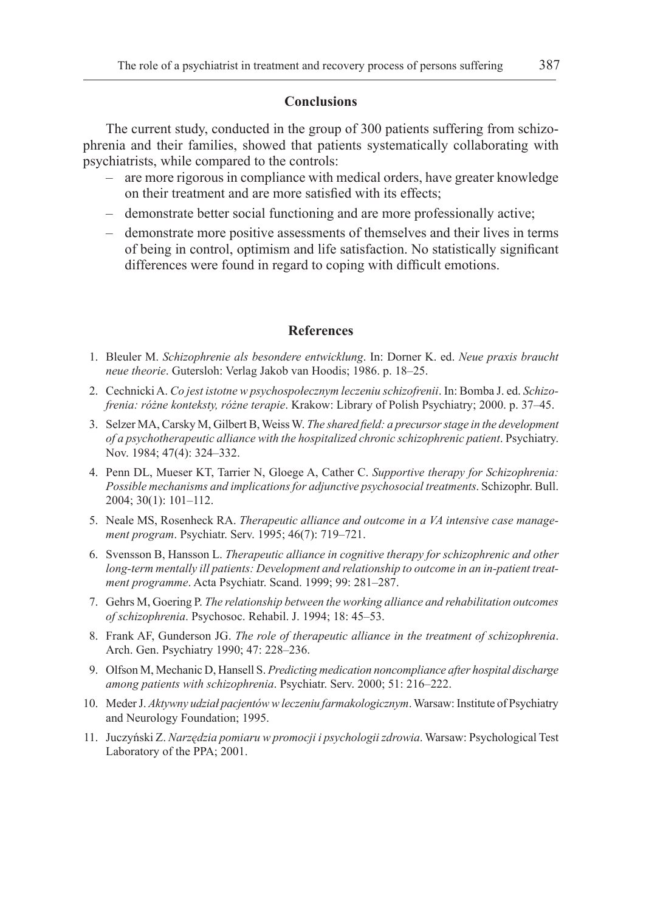#### **Conclusions**

The current study, conducted in the group of 300 patients suffering from schizophrenia and their families, showed that patients systematically collaborating with psychiatrists, while compared to the controls:

- are more rigorous in compliance with medical orders, have greater knowledge on their treatment and are more satisfied with its effects;
- demonstrate better social functioning and are more professionally active;
- demonstrate more positive assessments of themselves and their lives in terms of being in control, optimism and life satisfaction. No statistically significant differences were found in regard to coping with difficult emotions.

#### **References**

- 1. Bleuler M. *Schizophrenie als besondere entwicklung*. In: Dorner K. ed. *Neue praxis braucht neue theorie*. Gutersloh: Verlag Jakob van Hoodis; 1986. p. 18–25.
- 2. Cechnicki A. *Co jest istotne w psychospołecznym leczeniu schizofrenii*. In: Bomba J. ed. *Schizofrenia: różne konteksty, różne terapie*. Krakow: Library of Polish Psychiatry; 2000. p. 37–45.
- 3. Selzer MA, Carsky M, Gilbert B, Weiss W. *The shared field: a precursor stage in the development of a psychotherapeutic alliance with the hospitalized chronic schizophrenic patient*. Psychiatry. Nov. 1984; 47(4): 324–332.
- 4. Penn DL, Mueser KT, Tarrier N, Gloege A, Cather C. *Supportive therapy for Schizophrenia: Possible mechanisms and implications for adjunctive psychosocial treatments*. Schizophr. Bull. 2004; 30(1): 101–112.
- 5. Neale MS, Rosenheck RA. *Therapeutic alliance and outcome in a VA intensive case management program*. Psychiatr. Serv. 1995; 46(7): 719–721.
- 6. Svensson B, Hansson L. *Therapeutic alliance in cognitive therapy for schizophrenic and other long-term mentally ill patients: Development and relationship to outcome in an in-patient treatment programme*. Acta Psychiatr. Scand. 1999; 99: 281–287.
- 7. Gehrs M, Goering P. *The relationship between the working alliance and rehabilitation outcomes of schizophrenia*. Psychosoc. Rehabil. J. 1994; 18: 45–53.
- 8. Frank AF, Gunderson JG. *The role of therapeutic alliance in the treatment of schizophrenia*. Arch. Gen. Psychiatry 1990; 47: 228–236.
- 9. Olfson M, Mechanic D, Hansell S. *Predicting medication noncompliance after hospital discharge among patients with schizophrenia*. Psychiatr. Serv. 2000; 51: 216–222.
- 10. Meder J. *Aktywny udział pacjentów w leczeniu farmakologicznym*. Warsaw: Institute of Psychiatry and Neurology Foundation; 1995.
- 11. Juczyński Z. *Narzędzia pomiaru w promocji i psychologii zdrowia*. Warsaw: Psychological Test Laboratory of the PPA; 2001.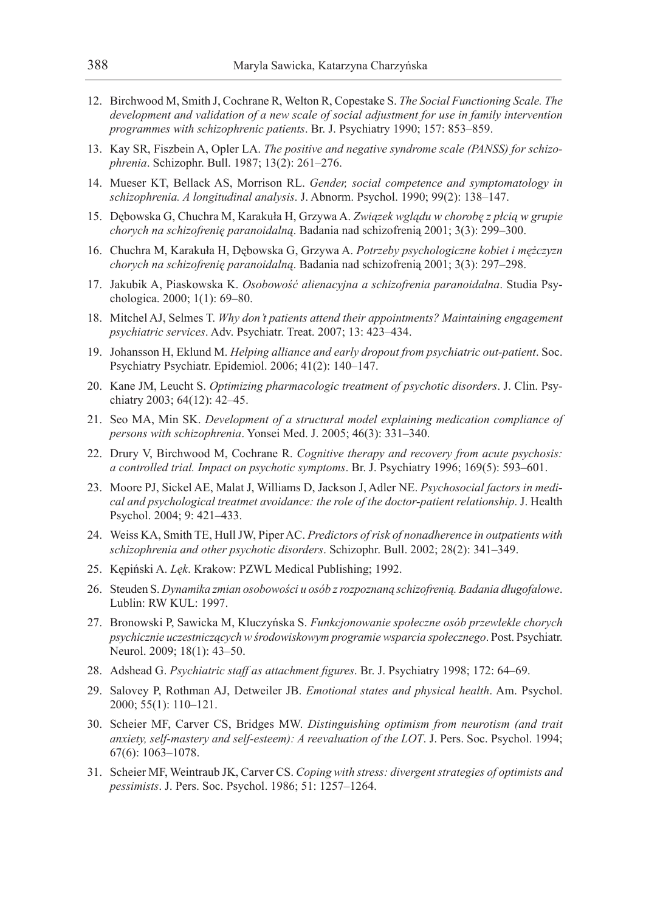- 12. Birchwood M, Smith J, Cochrane R, Welton R, Copestake S. *The Social Functioning Scale. The development and validation of a new scale of social adjustment for use in family intervention programmes with schizophrenic patients*. Br. J. Psychiatry 1990; 157: 853–859.
- 13. Kay SR, Fiszbein A, Opler LA. *The positive and negative syndrome scale (PANSS) for schizophrenia*. Schizophr. Bull. 1987; 13(2): 261–276.
- 14. Mueser KT, Bellack AS, Morrison RL. *Gender, social competence and symptomatology in schizophrenia. A longitudinal analysis*. J. Abnorm. Psychol. 1990; 99(2): 138–147.
- 15. Dębowska G, Chuchra M, Karakuła H, Grzywa A. *Związek wglądu w chorobę z płcią w grupie chorych na schizofrenię paranoidalną*. Badania nad schizofrenią 2001; 3(3): 299–300.
- 16. Chuchra M, Karakuła H, Dębowska G, Grzywa A. *Potrzeby psychologiczne kobiet i mężczyzn chorych na schizofrenię paranoidalną*. Badania nad schizofrenią 2001; 3(3): 297–298.
- 17. Jakubik A, Piaskowska K. *Osobowość alienacyjna a schizofrenia paranoidalna*. Studia Psychologica. 2000; 1(1): 69–80.
- 18. Mitchel AJ, Selmes T. *Why don't patients attend their appointments? Maintaining engagement psychiatric services*. Adv. Psychiatr. Treat. 2007; 13: 423–434.
- 19. Johansson H, Eklund M. *Helping alliance and early dropout from psychiatric out-patient*. Soc. Psychiatry Psychiatr. Epidemiol. 2006; 41(2): 140–147.
- 20. Kane JM, Leucht S. *Optimizing pharmacologic treatment of psychotic disorders*. J. Clin. Psychiatry 2003; 64(12): 42–45.
- 21. Seo MA, Min SK. *Development of a structural model explaining medication compliance of persons with schizophrenia*. Yonsei Med. J. 2005; 46(3): 331–340.
- 22. Drury V, Birchwood M, Cochrane R. *Cognitive therapy and recovery from acute psychosis: a controlled trial. Impact on psychotic symptoms*. Br. J. Psychiatry 1996; 169(5): 593–601.
- 23. Moore PJ, Sickel AE, Malat J, Williams D, Jackson J, Adler NE. *Psychosocial factors in medical and psychological treatmet avoidance: the role of the doctor-patient relationship*. J. Health Psychol. 2004; 9: 421–433.
- 24. Weiss KA, Smith TE, Hull JW, Piper AC. *Predictors of risk of nonadherence in outpatients with schizophrenia and other psychotic disorders*. Schizophr. Bull. 2002; 28(2): 341–349.
- 25. Kępiński A. *Lęk*. Krakow: PZWL Medical Publishing; 1992.
- 26. Steuden S. *Dynamika zmian osobowości u osób z rozpoznaną schizofrenią. Badania długofalowe*. Lublin: RW KUL: 1997.
- 27. Bronowski P, Sawicka M, Kluczyńska S. *Funkcjonowanie społeczne osób przewlekle chorych psychicznie uczestniczących w środowiskowym programie wsparcia społecznego*. Post. Psychiatr. Neurol. 2009; 18(1): 43–50.
- 28. Adshead G. *Psychiatric staff as attachment figures*. Br. J. Psychiatry 1998; 172: 64–69.
- 29. Salovey P, Rothman AJ, Detweiler JB. *Emotional states and physical health*. Am. Psychol. 2000; 55(1): 110–121.
- 30. Scheier MF, Carver CS, Bridges MW. *Distinguishing optimism from neurotism (and trait anxiety, self-mastery and self-esteem): A reevaluation of the LOT*. J. Pers. Soc. Psychol. 1994; 67(6): 1063–1078.
- 31. Scheier MF, Weintraub JK, Carver CS. *Coping with stress: divergent strategies of optimists and pessimists*. J. Pers. Soc. Psychol. 1986; 51: 1257–1264.